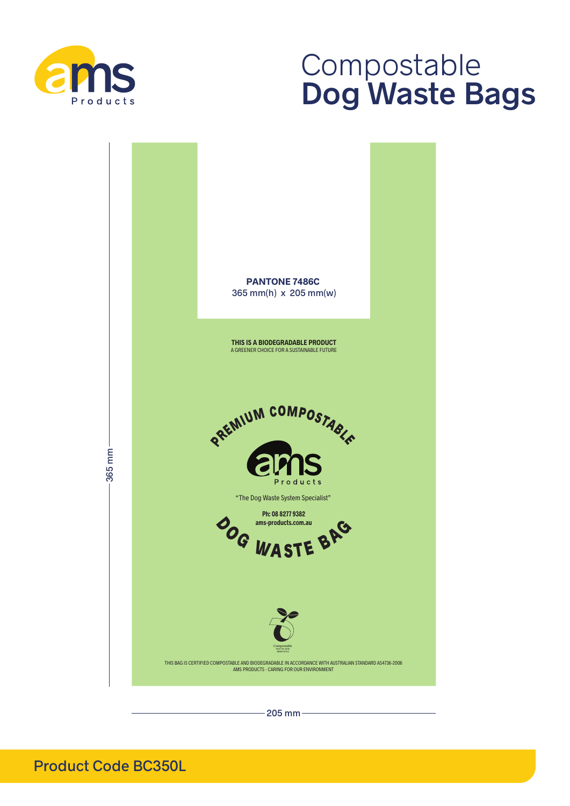

# Compostable **Dog Waste Bags**



 $205$  mm $-$ 

Product Code BC350L